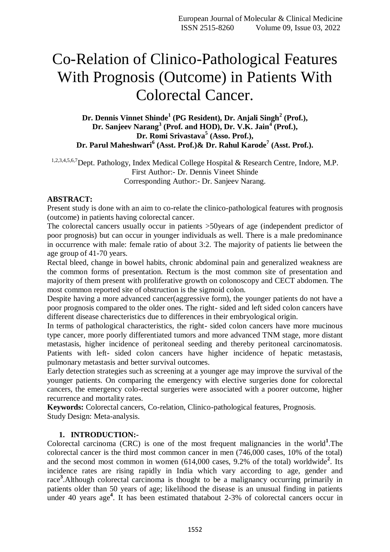# Co-Relation of Clinico-Pathological Features With Prognosis (Outcome) in Patients With Colorectal Cancer.

# **Dr. Dennis Vinnet Shinde<sup>1</sup> (PG Resident), Dr. Anjali Singh<sup>2</sup> (Prof.), Dr. Sanjeev Narang<sup>3</sup> (Prof. and HOD), Dr. V.K. Jain<sup>4</sup> (Prof.), Dr. Romi Srivastava<sup>5</sup> (Asso. Prof.), Dr. Parul Maheshwari<sup>6</sup> (Asst. Prof.)& Dr. Rahul Karode<sup>7</sup> (Asst. Prof.).**

1,2,3,4,5,6,7Dept. Pathology, Index Medical College Hospital & Research Centre, Indore, M.P. First Author:- Dr. Dennis Vineet Shinde Corresponding Author:- Dr. Sanjeev Narang.

#### **ABSTRACT:**

Present study is done with an aim to co-relate the clinico-pathological features with prognosis (outcome) in patients having colorectal cancer.

The colorectal cancers usually occur in patients >50years of age (independent predictor of poor prognosis) but can occur in younger individuals as well. There is a male predominance in occurrence with male: female ratio of about 3:2. The majority of patients lie between the age group of 41-70 years.

Rectal bleed, change in bowel habits, chronic abdominal pain and generalized weakness are the common forms of presentation. Rectum is the most common site of presentation and majority of them present with proliferative growth on colonoscopy and CECT abdomen. The most common reported site of obstruction is the sigmoid colon.

Despite having a more advanced cancer(aggressive form), the younger patients do not have a poor prognosis compared to the older ones. The right- sided and left sided colon cancers have different disease charecteristics due to differences in their embryological origin.

In terms of pathological characteristics, the right- sided colon cancers have more mucinous type cancer, more poorly differentiated tumors and more advanced TNM stage, more distant metastasis, higher incidence of peritoneal seeding and thereby peritoneal carcinomatosis. Patients with left- sided colon cancers have higher incidence of hepatic metastasis, pulmonary metastasis and better survival outcomes.

Early detection strategies such as screening at a younger age may improve the survival of the younger patients. On comparing the emergency with elective surgeries done for colorectal cancers, the emergency colo-rectal surgeries were associated with a poorer outcome, higher recurrence and mortality rates.

**Keywords:** Colorectal cancers, Co-relation, Clinico-pathological features, Prognosis. Study Design: Meta-analysis.

# **1. INTRODUCTION:-**

Colorectal carcinoma (CRC) is one of the most frequent malignancies in the world<sup>1</sup>. The colorectal cancer is the third most common cancer in men (746,000 cases, 10% of the total) and the second most common in women (614,000 cases, 9.2% of the total) worldwide<sup>2</sup>. Its incidence rates are rising rapidly in India which vary according to age, gender and race<sup>3</sup>.Although colorectal carcinoma is thought to be a malignancy occurring primarily in patients older than 50 years of age; likelihood the disease is an unusual finding in patients under 40 years age**<sup>4</sup>** . It has been estimated thatabout 2-3% of colorectal cancers occur in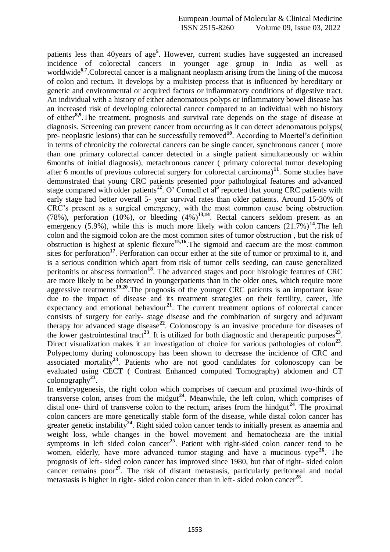patients less than 40years of age**<sup>5</sup>** . However, current studies have suggested an increased incidence of colorectal cancers in younger age group in India as well as worldwide<sup>6,7</sup>.Colorectal cancer is a malignant neoplasm arising from the lining of the mucosa of colon and rectum. It develops by a multistep process that is influenced by hereditary or genetic and environmental or acquired factors or inflammatory conditions of digestive tract. An individual with a history of either adenomatous polyps or inflammatory bowel disease has an increased risk of developing colorectal cancer compared to an individual with no history of either**8,9** .The treatment, prognosis and survival rate depends on the stage of disease at diagnosis. Screening can prevent cancer from occurring as it can detect adenomatous polyps( pre- neoplastic lesions) that can be successfully removed<sup>10</sup>. According to Moertel's definition in terms of chronicity the colorectal cancers can be single cancer, synchronous cancer ( more than one primary colorectal cancer detected in a single patient simultaneously or within 6months of initial diagnosis), metachronous cancer ( primary colorectal tumor developing after 6 months of previous colorectal surgery for colorectal carcinoma)**<sup>11</sup>** . Some studies have demonstrated that young CRC patients presented poor pathological features and advanced stage compared with older patients<sup>12</sup>. O' Connell et al<sup>5</sup> reported that young CRC patients with early stage had better overall 5- year survival rates than older patients. Around 15-30% of CRC's present as a surgical emergency, with the most common cause being obstruction (78%), perforation  $(10\%)$ , or bleeding  $(4\%)$ <sup>13,14</sup>. Rectal cancers seldom present as an emergency (5.9%), while this is much more likely with colon cancers  $(21.7\%)^{14}$ . The left colon and the sigmoid colon are the most common sites of tumor obstruction , but the risk of obstruction is highest at splenic flexure**15,16**.The sigmoid and caecum are the most common sites for perforation<sup>17</sup>. Perforation can occur either at the site of tumor or proximal to it, and is a serious condition which apart from risk of tumor cells seeding, can cause generalized peritonitis or abscess formation<sup>18</sup>. The advanced stages and poor histologic features of CRC are more likely to be observed in youngerpatients than in the older ones, which require more aggressive treatments**19,20**.The prognosis of the younger CRC patients is an important issue due to the impact of disease and its treatment strategies on their fertility, career, life expectancy and emotional behaviour<sup>21</sup>. The current treatment options of colorectal cancer consists of surgery for early- stage disease and the combination of surgery and adjuvant therapy for advanced stage disease**<sup>22</sup>** . Colonoscopy is an invasive procedure for diseases of the lower gastrointestinal tract<sup>23</sup>. It is utilized for both diagnostic and therapeutic purposes<sup>23</sup>. Direct visualization makes it an investigation of choice for various pathologies of colon<sup>23</sup>. Polypectomy during colonoscopy has been shown to decrease the incidence of CRC and associated mortality**<sup>23</sup>**. Patients who are not good candidates for colonoscopy can be evaluated using CECT ( Contrast Enhanced computed Tomography) abdomen and CT colonography**<sup>23</sup>** .

In embryogenesis, the right colon which comprises of caecum and proximal two-thirds of transverse colon, arises from the midgut**<sup>24</sup>**. Meanwhile, the left colon, which comprises of distal one- third of transverse colon to the rectum, arises from the hindgut<sup>24</sup>. The proximal colon cancers are more genetically stable form of the disease, while distal colon cancer has greater genetic instability**<sup>24</sup>**. Right sided colon cancer tends to initially present as anaemia and weight loss, while changes in the bowel movement and hematochezia are the initial symptoms in left sided colon cancer<sup>25</sup>. Patient with right-sided colon cancer tend to be women, elderly, have more advanced tumor staging and have a mucinous type<sup>26</sup>. The prognosis of left- sided colon cancer has improved since 1980, but that of right- sided colon cancer remains poor<sup>27</sup>. The risk of distant metastasis, particularly peritoneal and nodal metastasis is higher in right- sided colon cancer than in left- sided colon cancer**<sup>28</sup>** .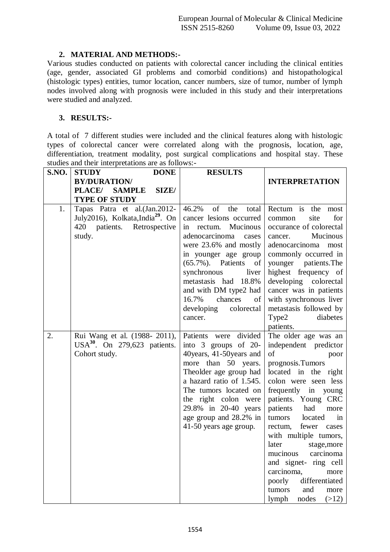### **2. MATERIAL AND METHODS:-**

Various studies conducted on patients with colorectal cancer including the clinical entities (age, gender, associated GI problems and comorbid conditions) and histopathological (histologic types) entities, tumor location, cancer numbers, size of tumor, number of lymph nodes involved along with prognosis were included in this study and their interpretations were studied and analyzed.

#### **3. RESULTS:-**

A total of 7 different studies were included and the clinical features along with histologic types of colorectal cancer were correlated along with the prognosis, location, age, differentiation, treatment modality, post surgical complications and hospital stay. These studies and their interpretations are as follows:-

| <b>S.NO.</b> | <b>DONE</b><br><b>STUDY</b>                                                                                                 | <b>RESULTS</b>                                                                                                                                                                                                                                                                                                             |                                                                                                                                                                                                                                                                                                                                                                                                                                                                     |
|--------------|-----------------------------------------------------------------------------------------------------------------------------|----------------------------------------------------------------------------------------------------------------------------------------------------------------------------------------------------------------------------------------------------------------------------------------------------------------------------|---------------------------------------------------------------------------------------------------------------------------------------------------------------------------------------------------------------------------------------------------------------------------------------------------------------------------------------------------------------------------------------------------------------------------------------------------------------------|
|              | <b>BY/DURATION/</b>                                                                                                         |                                                                                                                                                                                                                                                                                                                            | <b>INTERPRETATION</b>                                                                                                                                                                                                                                                                                                                                                                                                                                               |
|              | PLACE/<br><b>SAMPLE</b><br>SIZE/                                                                                            |                                                                                                                                                                                                                                                                                                                            |                                                                                                                                                                                                                                                                                                                                                                                                                                                                     |
|              | <b>TYPE OF STUDY</b>                                                                                                        |                                                                                                                                                                                                                                                                                                                            |                                                                                                                                                                                                                                                                                                                                                                                                                                                                     |
| 1.           | Tapas Patra et al.(Jan.2012-<br>July2016), Kolkata, India <sup>29</sup> . On<br>420<br>patients.<br>Retrospective<br>study. | of<br>the<br>46.2%<br>total<br>cancer lesions occurred<br>Mucinous<br>in rectum.<br>adenocarcinoma<br>cases<br>were 23.6% and mostly<br>in younger age group<br>$(65.7\%)$ . Patients<br>of<br>synchronous<br>liver<br>metastasis had 18.8%<br>and with DM type2 had<br>16.7%<br>chances<br>of<br>developing<br>colorectal | Rectum is the<br>most<br>for<br>site<br>common<br>occurance of colorectal<br>Mucinous<br>cancer.<br>adenocarcinoma<br>most<br>commonly occurred in<br>younger patients. The<br>highest frequency of<br>developing colorectal<br>cancer was in patients<br>with synchronous liver<br>metastasis followed by                                                                                                                                                          |
|              |                                                                                                                             | cancer.                                                                                                                                                                                                                                                                                                                    | Type2<br>diabetes<br>patients.                                                                                                                                                                                                                                                                                                                                                                                                                                      |
| 2.           | Rui Wang et al. (1988-2011),<br>$USA^{30}$ . On 279,623 patients.<br>Cohort study.                                          | divided<br>Patients were<br>into 3 groups of 20-<br>40years, 41-50years and<br>more than 50 years.<br>Theolder age group had<br>a hazard ratio of 1.545.<br>The tumors located on<br>the right colon were<br>29.8% in 20-40 years<br>age group and 28.2% in<br>41-50 years age group.                                      | The older age was an<br>independent predictor<br>of<br>poor<br>prognosis.Tumors<br>located in the right<br>colon were seen less<br>frequently in young<br>patients. Young CRC<br>patients had<br>more<br>tumors<br>located<br>in<br>rectum, fewer<br>cases<br>with multiple tumors,<br>later<br>stage, more<br>carcinoma<br>mucinous<br>and signet- ring cell<br>carcinoma,<br>more<br>poorly<br>differentiated<br>tumors<br>and<br>more<br>nodes<br>(>12)<br>lymph |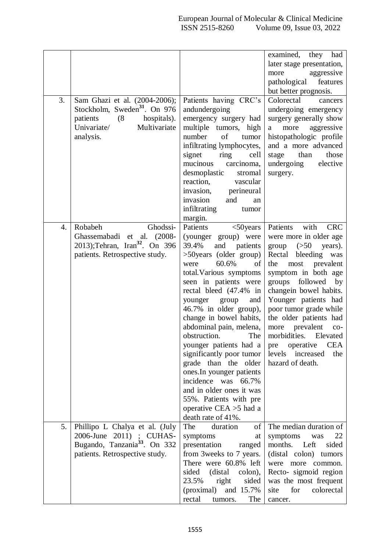|    |                                           |                              | examined,<br>they<br>had       |
|----|-------------------------------------------|------------------------------|--------------------------------|
|    |                                           |                              | later stage presentation,      |
|    |                                           |                              | aggressive<br>more             |
|    |                                           |                              | pathological<br>features       |
|    |                                           |                              | but better prognosis.          |
| 3. | Sam Ghazi et al. (2004-2006);             | Patients having CRC's        | Colorectal<br>cancers          |
|    | Stockholm, Sweden <sup>31</sup> . On 976  | andundergoing                | undergoing emergency           |
|    | patients<br>hospitals).<br>(8)            | emergency surgery had        | surgery generally show         |
|    | Univariate/<br>Multivariate               | multiple tumors, high        | more<br>aggressive<br>a        |
|    | analysis.                                 | of<br>number<br>tumor        | histopathologic profile        |
|    |                                           | infiltrating lymphocytes,    | and a more advanced            |
|    |                                           | signet<br>cell<br>ring       | those<br>stage<br>than         |
|    |                                           | mucinous<br>carcinoma,       | undergoing<br>elective         |
|    |                                           | desmoplastic<br>stromal      | surgery.                       |
|    |                                           | reaction,<br>vascular        |                                |
|    |                                           | invasion,<br>perineural      |                                |
|    |                                           | invasion<br>and<br>an        |                                |
|    |                                           | infiltrating<br>tumor        |                                |
|    |                                           | margin.                      |                                |
| 4. | Robabeh<br>Ghodssi-                       | Patients<br>$<$ 50 years     | Patients<br>with<br><b>CRC</b> |
|    | Ghassemabadi et al. (2008-                | (younger group) were         | were more in older age         |
|    | 2013);Tehran, Iran <sup>32</sup> . On 396 | 39.4%<br>and<br>patients     | group<br>(>50)<br>years).      |
|    | patients. Retrospective study.            | >50 years (older group)      | Rectal bleeding<br>was         |
|    |                                           | 60.6%<br>were<br>of          | prevalent<br>the<br>most       |
|    |                                           | total. Various symptoms      | symptom in both age            |
|    |                                           |                              |                                |
|    |                                           | seen in patients were        | groups followed by             |
|    |                                           | rectal bleed (47.4% in       | changein bowel habits.         |
|    |                                           | younger<br>group<br>and      | Younger patients had           |
|    |                                           | 46.7% in older group),       | poor tumor grade while         |
|    |                                           | change in bowel habits,      | the older patients had         |
|    |                                           | abdominal pain, melena,      | prevalent<br>more<br>$CO-$     |
|    |                                           | obstruction.<br>The          | morbidities.<br>Elevated       |
|    |                                           | younger patients had a       | <b>CEA</b><br>operative<br>pre |
|    |                                           | significantly poor tumor     | increased<br>levels<br>the     |
|    |                                           | grade than the older         | hazard of death.               |
|    |                                           | ones.In younger patients     |                                |
|    |                                           | incidence was 66.7%          |                                |
|    |                                           | and in older ones it was     |                                |
|    |                                           | 55%. Patients with pre       |                                |
|    |                                           | operative CEA $>5$ had a     |                                |
|    |                                           | death rate of 41%.           |                                |
| 5. | Phillipo L Chalya et al. (July            | The<br>duration<br>οf        | The median duration of         |
|    | 2006-June 2011) ; CUHAS-                  | symptoms<br>at               | symptoms<br>22<br>was          |
|    | Bugando, Tanzania <sup>33</sup> . On 332  | presentation<br>ranged       | months.<br>Left<br>sided       |
|    | patients. Retrospective study.            | from 3 weeks to 7 years.     | (distal colon)<br>tumors       |
|    |                                           | There were 60.8% left        | were more common.              |
|    |                                           | (distal)<br>sided<br>colon), | Recto-sigmoid region           |
|    |                                           | 23.5%<br>right<br>sided      | was the most frequent          |
|    |                                           | (proximal)<br>and 15.7%      | for<br>colorectal<br>site      |
|    |                                           | The<br>rectal<br>tumors.     | cancer.                        |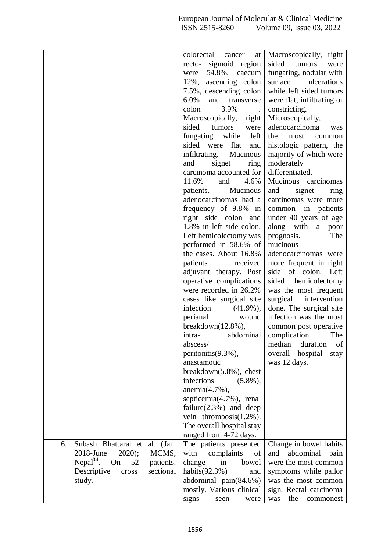|    |                               |           | colorectal<br>cancer<br>at       | Macroscopically, right      |
|----|-------------------------------|-----------|----------------------------------|-----------------------------|
|    |                               |           | sigmoid region<br>recto-         | sided<br>tumors<br>were     |
|    |                               |           | 54.8%, caecum<br>were            | fungating, nodular with     |
|    |                               |           | 12%,<br>ascending colon          | surface<br>ulcerations      |
|    |                               |           | 7.5%, descending colon           | while left sided tumors     |
|    |                               |           | $6.0\%$<br>and transverse        | were flat, infiltrating or  |
|    |                               |           | colon<br>3.9%                    | constricting.               |
|    |                               |           | Macroscopically,<br>$right \mid$ | Microscopically,            |
|    |                               |           | sided<br>tumors<br>were          | adenocarcinoma<br>was       |
|    |                               |           | fungating while<br>left          | the<br>most<br>common       |
|    |                               |           | sided<br>were flat<br>and        | histologic pattern, the     |
|    |                               |           | infiltrating. Mucinous           | majority of which were      |
|    |                               |           | signet<br>ring<br>and            | moderately                  |
|    |                               |           | carcinoma accounted for          | differentiated.             |
|    |                               |           | 4.6%<br>11.6%<br>and             | Mucinous carcinomas         |
|    |                               |           | patients.<br>Mucinous            | and<br>signet<br>ring       |
|    |                               |           | adenocarcinomas had a            | carcinomas were more        |
|    |                               |           | frequency of 9.8% in             | common in patients          |
|    |                               |           | right side colon and             | under 40 years of age       |
|    |                               |           | 1.8% in left side colon.         | along with<br>a poor        |
|    |                               |           | Left hemicolectomy was           | prognosis.<br>The           |
|    |                               |           | performed in 58.6% of            | mucinous                    |
|    |                               |           | the cases. About 16.8%           | adenocarcinomas were        |
|    |                               |           | patients<br>received             | more frequent in right      |
|    |                               |           | adjuvant therapy. Post           | side of colon. Left         |
|    |                               |           | operative complications          | sided hemicolectomy         |
|    |                               |           | were recorded in 26.2%           | was the most frequent       |
|    |                               |           | cases like surgical site         | surgical<br>intervention    |
|    |                               |           | infection<br>$(41.9\%)$ ,        | done. The surgical site     |
|    |                               |           | perianal<br>wound                | infection was the most      |
|    |                               |           | $breakdown(12.8\%),$             | common post operative       |
|    |                               |           | abdominal<br>intra-              | complication.<br>The        |
|    |                               |           | abscess/                         | duration<br>of<br>median    |
|    |                               |           | peritonitis(9.3%),               | overall<br>hospital<br>stay |
|    |                               |           | anastamotic                      | was 12 days.                |
|    |                               |           | breakdown $(5.8\%)$ , chest      |                             |
|    |                               |           | infections<br>$(5.8\%)$          |                             |
|    |                               |           | $anemia(4.7\%)$ ,                |                             |
|    |                               |           | septicemia(4.7%), renal          |                             |
|    |                               |           | failure $(2.3\%)$ and deep       |                             |
|    |                               |           | vein thrombosis $(1.2\%)$ .      |                             |
|    |                               |           | The overall hospital stay        |                             |
|    |                               |           | ranged from 4-72 days.           |                             |
| 6. | Subash Bhattarai et al. (Jan. |           | The patients presented           | Change in bowel habits      |
|    | 2018-June<br>$2020$ ;         | MCMS,     | with<br>complaints<br>of         | abdominal<br>pain<br>and    |
|    | Nepa $l^{34}$ .<br>On<br>52   | patients. | change<br>in<br>bowel            | were the most common        |
|    | Descriptive<br>cross          | sectional | habits $(92.3\%)$<br>and         | symptoms while pallor       |
|    | study.                        |           | abdominal pain(84.6%)            | was the most common         |
|    |                               |           | mostly. Various clinical         | sign. Rectal carcinoma      |
|    |                               |           | signs<br>seen<br>were            | the<br>was<br>commonest     |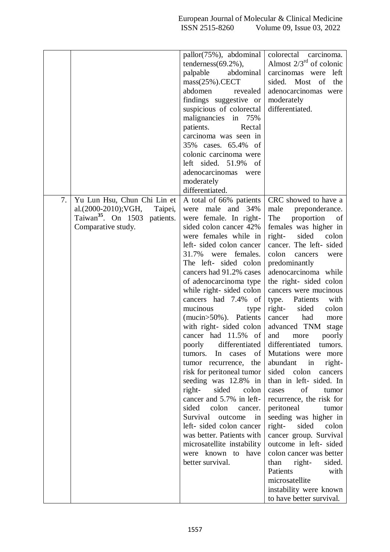|    |                                                                                                                                 | pallor(75%), abdominal<br>tenderness $(69.2\%)$ ,<br>abdominal<br>palpable<br>$mass(25%)$ .CECT<br>abdomen<br>revealed<br>findings suggestive or<br>suspicious of colorectal<br>malignancies in 75%<br>patients.<br>Rectal<br>carcinoma was seen in<br>35% cases. 65.4% of<br>colonic carcinoma were<br>left sided. $51.9\%$<br>of<br>adenocarcinomas<br>were<br>moderately<br>differentiated.                                                                                                                                                                                                                                                                                                                                                                                                                  | colorectal carcinoma.<br>Almost $2/3^{rd}$ of colonic<br>carcinomas were<br>left<br>sided.<br>Most<br>the<br>of<br>adenocarcinomas were<br>moderately<br>differentiated.                                                                                                                                                                                                                                                                                                                                                                                                                                                                                                                                                                                                                                                                                                                             |
|----|---------------------------------------------------------------------------------------------------------------------------------|-----------------------------------------------------------------------------------------------------------------------------------------------------------------------------------------------------------------------------------------------------------------------------------------------------------------------------------------------------------------------------------------------------------------------------------------------------------------------------------------------------------------------------------------------------------------------------------------------------------------------------------------------------------------------------------------------------------------------------------------------------------------------------------------------------------------|------------------------------------------------------------------------------------------------------------------------------------------------------------------------------------------------------------------------------------------------------------------------------------------------------------------------------------------------------------------------------------------------------------------------------------------------------------------------------------------------------------------------------------------------------------------------------------------------------------------------------------------------------------------------------------------------------------------------------------------------------------------------------------------------------------------------------------------------------------------------------------------------------|
| 7. | Yu Lun Hsu, Chun Chi Lin et<br>al.(2000-2010);VGH,<br>Taipei,<br>Taiwan <sup>35</sup> . On 1503 patients.<br>Comparative study. | A total of 66% patients<br>were male and 34%<br>were female. In right-<br>sided colon cancer 42%<br>were females while in<br>left-sided colon cancer<br>females.<br>31.7%<br>were<br>The left- sided colon<br>cancers had 91.2% cases<br>of adenocarcinoma type<br>while right-sided colon<br>cancers had 7.4% of<br>mucinous<br>type<br>(mucin>50%). Patients<br>with right- sided colon<br>cancer had 11.5% of<br>poorly<br>differentiated<br>tumors.<br>In<br>cases<br>οf<br>the<br>tumor recurrence,<br>risk for peritoneal tumor<br>seeding was 12.8% in<br>right-<br>sided<br>colon<br>cancer and 5.7% in left-<br>sided<br>colon<br>cancer.<br>Survival outcome<br>in<br>left-sided colon cancer<br>was better. Patients with<br>microsatellite instability<br>were known to<br>have<br>better survival. | CRC showed to have a<br>male<br>preponderance.<br>The<br>proportion<br>of<br>females was higher in<br>right-<br>sided<br>colon<br>cancer. The left- sided<br>colon<br>cancers<br>were<br>predominantly<br>adenocarcinoma while<br>the right- sided colon<br>cancers were mucinous<br>Patients<br>type.<br>with<br>right-<br>sided<br>colon<br>had<br>cancer<br>more<br>advanced TNM<br>stage<br>and<br>poorly<br>more<br>differentiated<br>tumors.<br>Mutations were<br>more<br>abundant<br>in<br>right-<br>sided colon<br>cancers<br>than in left- sided. In<br>of<br>cases<br>tumor<br>recurrence, the risk for<br>peritoneal<br>tumor<br>seeding was higher in<br>right-<br>sided<br>colon<br>cancer group. Survival<br>outcome in left- sided<br>colon cancer was better<br>than<br>right-<br>sided.<br>Patients<br>with<br>microsatellite<br>instability were known<br>to have better survival. |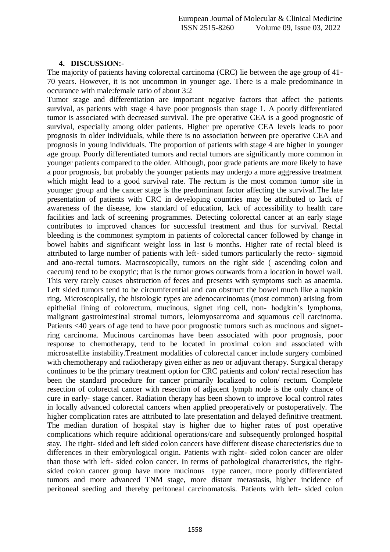#### **4. DISCUSSION:-**

The majority of patients having colorectal carcinoma (CRC) lie between the age group of 41- 70 years. However, it is not uncommon in younger age. There is a male predominance in occurance with male:female ratio of about 3:2

Tumor stage and differentiation are important negative factors that affect the patients survival, as patients with stage 4 have poor prognosis than stage 1. A poorly differentiated tumor is associated with decreased survival. The pre operative CEA is a good prognostic of survival, especially among older patients. Higher pre operative CEA levels leads to poor prognosis in older individuals, while there is no association between pre operative CEA and prognosis in young individuals. The proportion of patients with stage 4 are higher in younger age group. Poorly differentiated tumors and rectal tumors are significantly more common in younger patients compared to the older. Although, poor grade patients are more likely to have a poor prognosis, but probably the younger patients may undergo a more aggressive treatment which might lead to a good survival rate. The rectum is the most common tumor site in younger group and the cancer stage is the predominant factor affecting the survival.The late presentation of patients with CRC in developing countries may be attributed to lack of awareness of the disease, low standard of education, lack of accessibility to health care facilities and lack of screening programmes. Detecting colorectal cancer at an early stage contributes to improved chances for successful treatment and thus for survival. Rectal bleeding is the commonest symptom in patients of colorectal cancer followed by change in bowel habits and significant weight loss in last 6 months. Higher rate of rectal bleed is attributed to large number of patients with left- sided tumors particularly the recto- sigmoid and ano-rectal tumors. Macroscopically, tumors on the right side ( ascending colon and caecum) tend to be exopytic; that is the tumor grows outwards from a location in bowel wall. This very rarely causes obstruction of feces and presents with symptoms such as anaemia. Left sided tumors tend to be circumferential and can obstruct the bowel much like a napkin ring. Microscopically, the histologic types are adenocarcinomas (most common) arising from epithelial lining of colorectum, mucinous, signet ring cell, non- hodgkin's lymphoma, malignant gastrointestinal stromal tumors, leiomyosarcoma and squamous cell carcinoma. Patients <40 years of age tend to have poor prognostic tumors such as mucinous and signetring carcinoma. Mucinous carcinomas have been associated with poor prognosis, poor response to chemotherapy, tend to be located in proximal colon and associated with microsatellite instability.Treatment modalities of colorectal cancer include surgery combined with chemotherapy and radiotherapy given either as neo or adjuvant therapy. Surgical therapy continues to be the primary treatment option for CRC patients and colon/ rectal resection has been the standard procedure for cancer primarily localized to colon/ rectum. Complete resection of colorectal cancer with resection of adjacent lymph node is the only chance of cure in early- stage cancer. Radiation therapy has been shown to improve local control rates in locally advanced colorectal cancers when applied preoperatively or postoperatively. The higher complication rates are attributed to late presentation and delayed definitive treatment. The median duration of hospital stay is higher due to higher rates of post operative complications which require additional operations/care and subsequently prolonged hospital stay. The right- sided and left sided colon cancers have different disease charecteristics due to differences in their embryological origin. Patients with right- sided colon cancer are older than those with left- sided colon cancer. In terms of pathological characteristics, the rightsided colon cancer group have more mucinous type cancer, more poorly differentiated tumors and more advanced TNM stage, more distant metastasis, higher incidence of peritoneal seeding and thereby peritoneal carcinomatosis. Patients with left- sided colon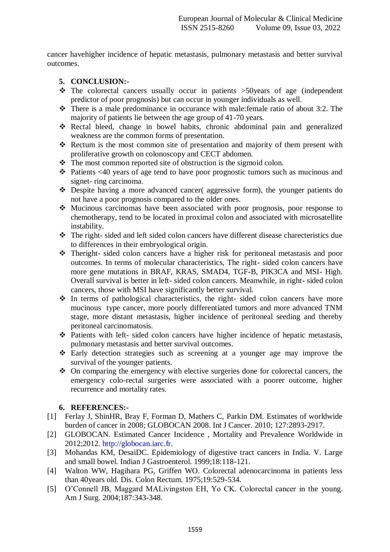cancer havehigher incidence of hepatic metastasis, pulmonary metastasis and better survival outcomes.

### **5. CONCLUSION:-**

- $\cdot \cdot$  The colorectal cancers usually occur in patients  $>50$  years of age (independent predictor of poor prognosis) but can occur in younger individuals as well.
- There is a male predominance in occurance with male:female ratio of about 3:2. The majority of patients lie between the age group of 41-70 years.
- Rectal bleed, change in bowel habits, chronic abdominal pain and generalized weakness are the common forms of presentation.
- \* Rectum is the most common site of presentation and majority of them present with proliferative growth on colonoscopy and CECT abdomen.
- $\triangle$  The most common reported site of obstruction is the sigmoid colon.
- Patients <40 years of age tend to have poor prognostic tumors such as mucinous and signet- ring carcinoma.
- Despite having a more advanced cancer( aggressive form), the younger patients do not have a poor prognosis compared to the older ones.
- Mucinous carcinomas have been associated with poor prognosis, poor response to chemotherapy, tend to be located in proximal colon and associated with microsatellite instability.
- The right- sided and left sided colon cancers have different disease charecteristics due to differences in their embryological origin.
- Theright- sided colon cancers have a higher risk for peritoneal metastasis and poor outcomes. In terms of molecular characteristics, The right- sided colon cancers have more gene mutations in BRAF, KRAS, SMAD4, TGF-B, PIK3CA and MSI- High. Overall survival is better in left- sided colon cancers. Meanwhile, in right- sided colon cancers, those with MSI have significantly better survival.
- $\triangle$  In terms of pathological characteristics, the right-sided colon cancers have more mucinous type cancer, more poorly differentiated tumors and more advanced TNM stage, more distant metastasis, higher incidence of peritoneal seeding and thereby peritoneal carcinomatosis.
- Patients with left- sided colon cancers have higher incidence of hepatic metastasis, pulmonary metastasis and better survival outcomes.
- Early detection strategies such as screening at a younger age may improve the survival of the younger patients.
- $\triangle$  On comparing the emergency with elective surgeries done for colorectal cancers, the emergency colo-rectal surgeries were associated with a poorer outcome, higher recurrence and mortality rates.

# **6. REFERENCES:-**

- [1] Ferlay J, ShinHR, Bray F, Forman D, Mathers C, Parkin DM. Estimates of worldwide burden of cancer in 2008; GLOBOCAN 2008. Int J Cancer. 2010; 127:2893-2917.
- [2] GLOBOCAN. Estimated Cancer Incidence , Mortality and Prevalence Worldwide in 2012;2012. [http://globocan.iarc.fr.](http://globocan.iarc.fr/)
- [3] Mohandas KM, DesaiDC. Epidemiology of digestive tract cancers in India. V. Large and small bowel. Indian J Gastroenterol. 1999;18:118-121.
- [4] Walton WW, Hagihara PG, Griffen WO. Colorectal adenocarcinoma in patients less than 40years old. Dis. Colon Rectum. 1975;19:529-534.
- [5] O'Connell JB, Maggard MALivingston EH, Yo CK. Colorectal cancer in the young. Am J Surg. 2004;187:343-348.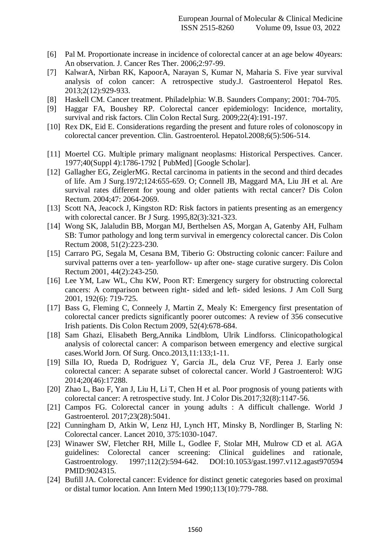- [6] Pal M. Proportionate increase in incidence of colorectal cancer at an age below 40years: An observation. J. Cancer Res Ther. 2006;2:97-99.
- [7] KalwarA, Nirban RK, KapoorA, Narayan S, Kumar N, Maharia S. Five year survival analysis of colon cancer: A retrospective study.J. Gastroenterol Hepatol Res. 2013;2(12):929-933.
- [8] Haskell CM. Cancer treatment. Philadelphia: W.B. Saunders Company; 2001: 704-705.
- [9] Haggar FA, Boushey RP. Colorectal cancer epidemiology: Incidence, mortality, survival and risk factors. Clin Colon Rectal Surg. 2009;22(4):191-197.
- [10] Rex DK, Eid E. Considerations regarding the present and future roles of colonoscopy in colorectal cancer prevention. Clin. Gastroenterol. Hepatol.2008;6(5):506-514.
- [11] Moertel CG. Multiple primary malignant neoplasms: Historical Perspectives. Cancer. 1977;40(Suppl 4):1786-1792 [ PubMed] [Google Scholar].
- [12] Gallagher EG, ZeiglerMG. Rectal carcinoma in patients in the second and third decades of life. Am J Surg.1972;124:655-659. O; Connell JB, Maggard MA, Liu JH et al. Are survival rates different for young and older patients with rectal cancer? Dis Colon Rectum. 2004;47: 2064-2069.
- [13] Scott NA, Jeacock J, Kingston RD: Risk factors in patients presenting as an emergency with colorectal cancer. Br J Surg. 1995,82(3):321-323.
- [14] Wong SK, Jalaludin BB, Morgan MJ, Berthelsen AS, Morgan A, Gatenby AH, Fulham SB: Tumor pathology and long term survival in emergency colorectal cancer. Dis Colon Rectum 2008, 51(2):223-230.
- [15] Carraro PG, Segala M, Cesana BM, Tiberio G: Obstructing colonic cancer: Failure and survival patterns over a ten- yearfollow- up after one- stage curative surgery. Dis Colon Rectum 2001, 44(2):243-250.
- [16] Lee YM, Law WL, Chu KW, Poon RT: Emergency surgery for obstructing colorectal cancers: A comparison between right- sided and left- sided lesions. J Am Coll Surg 2001, 192(6): 719-725.
- [17] Bass G, Fleming C, Conneely J, Martin Z, Mealy K: Emergency first presentation of colorectal cancer predicts significantly poorer outcomes: A review of 356 consecutive Irish patients. Dis Colon Rectum 2009, 52(4):678-684.
- [18] Sam Ghazi, Elisabeth Berg,Annika Lindblom, Ulrik Lindforss. Clinicopathological analysis of colorectal cancer: A comparison between emergency and elective surgical cases.World Jorn. Of Surg. Onco.2013,11:133;1-11.
- [19] Silla IO, Rueda D, Rodriguez Y, Garcia JL, dela Cruz VF, Perea J. Early onse colorectal cancer: A separate subset of colorectal cancer. World J Gastroenterol: WJG 2014;20(46):17288.
- [20] Zhao L, Bao F, Yan J, Liu H, Li T, Chen H et al. Poor prognosis of young patients with colorectal cancer: A retrospective study. Int. J Color Dis.2017;32(8):1147-56.
- [21] Campos FG. Colorectal cancer in young adults : A difficult challenge. World J Gastroenterol. 2017;23(28):5041.
- [22] Cunningham D, Atkin W, Lenz HJ, Lynch HT, Minsky B, Nordlinger B, Starling N: Colorectal cancer. Lancet 2010, 375:1030-1047.
- [23] Winawer SW, Fletcher RH, Mille L, Godlee F, Stolar MH, Mulrow CD et al. AGA guidelines: Colorectal cancer screening: Clinical guidelines and rationale, Gastroentrology. 1997;112(2):594-642. DOI:10.1053/gast.1997.v112.agast970594 PMID:9024315.
- [24] Bufill JA. Colorectal cancer: Evidence for distinct genetic categories based on proximal or distal tumor location. Ann Intern Med 1990;113(10):779-788.